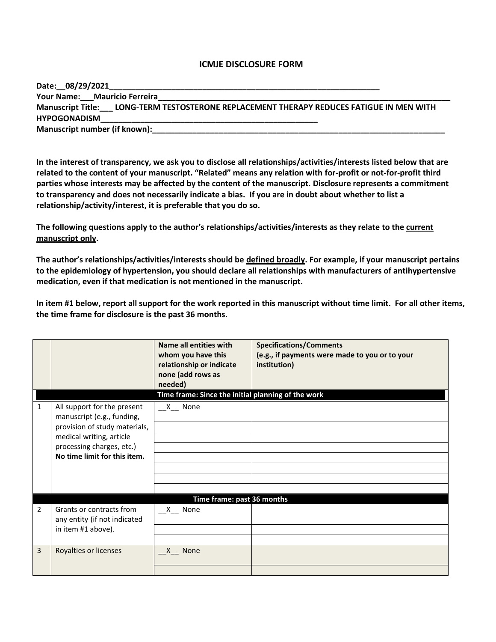## **ICMJE DISCLOSURE FORM**

| Date: 08/29/2021                                                                         |  |  |  |  |
|------------------------------------------------------------------------------------------|--|--|--|--|
| Your Name: Mauricio Ferreira                                                             |  |  |  |  |
| Manuscript Title: LONG-TERM TESTOSTERONE REPLACEMENT THERAPY REDUCES FATIGUE IN MEN WITH |  |  |  |  |
| <b>HYPOGONADISM</b>                                                                      |  |  |  |  |
| Manuscript number (if known):                                                            |  |  |  |  |

**In the interest of transparency, we ask you to disclose all relationships/activities/interests listed below that are related to the content of your manuscript. "Related" means any relation with for-profit or not-for-profit third parties whose interests may be affected by the content of the manuscript. Disclosure represents a commitment to transparency and does not necessarily indicate a bias. If you are in doubt about whether to list a relationship/activity/interest, it is preferable that you do so.** 

**The following questions apply to the author's relationships/activities/interests as they relate to the current manuscript only.**

**The author's relationships/activities/interests should be defined broadly. For example, if your manuscript pertains to the epidemiology of hypertension, you should declare all relationships with manufacturers of antihypertensive medication, even if that medication is not mentioned in the manuscript.** 

**In item #1 below, report all support for the work reported in this manuscript without time limit. For all other items, the time frame for disclosure is the past 36 months.** 

|   |                                                           | <b>Name all entities with</b><br>whom you have this<br>relationship or indicate<br>none (add rows as<br>needed) | <b>Specifications/Comments</b><br>(e.g., if payments were made to you or to your<br>institution) |
|---|-----------------------------------------------------------|-----------------------------------------------------------------------------------------------------------------|--------------------------------------------------------------------------------------------------|
| 1 | All support for the present                               | Time frame: Since the initial planning of the work<br>X None                                                    |                                                                                                  |
|   | manuscript (e.g., funding,                                |                                                                                                                 |                                                                                                  |
|   | provision of study materials,                             |                                                                                                                 |                                                                                                  |
|   | medical writing, article                                  |                                                                                                                 |                                                                                                  |
|   | processing charges, etc.)<br>No time limit for this item. |                                                                                                                 |                                                                                                  |
|   |                                                           |                                                                                                                 |                                                                                                  |
|   |                                                           |                                                                                                                 |                                                                                                  |
|   |                                                           |                                                                                                                 |                                                                                                  |
|   |                                                           | Time frame: past 36 months                                                                                      |                                                                                                  |
| 2 | Grants or contracts from<br>any entity (if not indicated  | X None                                                                                                          |                                                                                                  |
|   | in item #1 above).                                        |                                                                                                                 |                                                                                                  |
|   |                                                           |                                                                                                                 |                                                                                                  |
| 3 | Royalties or licenses                                     | X None                                                                                                          |                                                                                                  |
|   |                                                           |                                                                                                                 |                                                                                                  |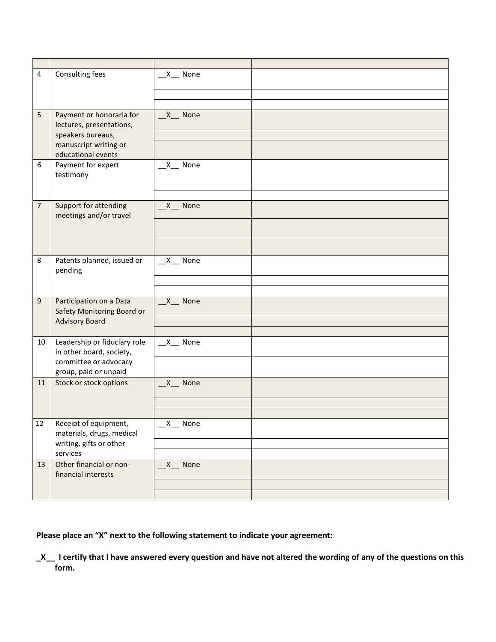| $\overline{4}$ | Consulting fees                                                                                                          | $X$ None              |  |
|----------------|--------------------------------------------------------------------------------------------------------------------------|-----------------------|--|
|                |                                                                                                                          |                       |  |
| 5              | Payment or honoraria for<br>lectures, presentations,<br>speakers bureaus,<br>manuscript writing or<br>educational events | $X$ <sub>_</sub> None |  |
| 6              | Payment for expert<br>testimony                                                                                          | $X$ None              |  |
|                |                                                                                                                          |                       |  |
| $\overline{7}$ | Support for attending<br>meetings and/or travel                                                                          | X None                |  |
|                |                                                                                                                          |                       |  |
|                |                                                                                                                          |                       |  |
| 8              | Patents planned, issued or<br>pending                                                                                    | $X$ None              |  |
|                |                                                                                                                          |                       |  |
|                |                                                                                                                          |                       |  |
| $\mathsf g$    | Participation on a Data<br>Safety Monitoring Board or                                                                    | $X$ None              |  |
|                | <b>Advisory Board</b>                                                                                                    |                       |  |
| 10             | Leadership or fiduciary role<br>in other board, society,                                                                 | $X$ None              |  |
|                | committee or advocacy                                                                                                    |                       |  |
|                | group, paid or unpaid                                                                                                    |                       |  |
| 11             | Stock or stock options                                                                                                   | $X$ None              |  |
|                |                                                                                                                          |                       |  |
| 12             | Receipt of equipment,<br>materials, drugs, medical                                                                       | $X$ None              |  |
|                | writing, gifts or other<br>services                                                                                      |                       |  |
| 13             | Other financial or non-                                                                                                  | $X$ None              |  |
|                | financial interests                                                                                                      |                       |  |
|                |                                                                                                                          |                       |  |

**Please place an "X" next to the following statement to indicate your agreement:**

**\_X\_\_ I certify that I have answered every question and have not altered the wording of any of the questions on this form.**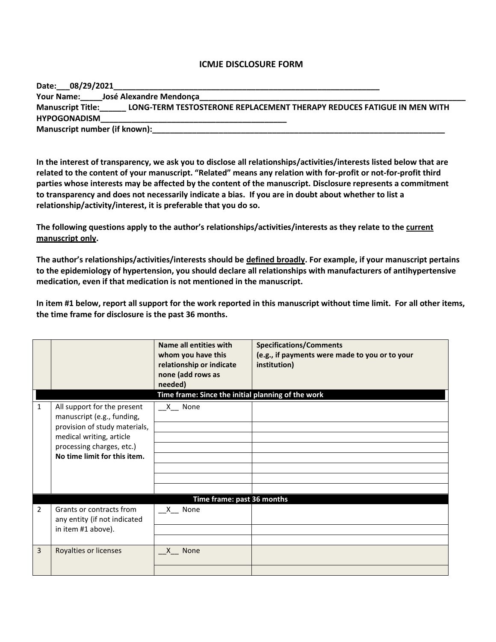## **ICMJE DISCLOSURE FORM**

| Date: 08/29/2021                                                                                   |  |  |  |
|----------------------------------------------------------------------------------------------------|--|--|--|
| José Alexandre Mendonça<br><b>Your Name:</b>                                                       |  |  |  |
| LONG-TERM TESTOSTERONE REPLACEMENT THERAPY REDUCES FATIGUE IN MEN WITH<br><b>Manuscript Title:</b> |  |  |  |
| <b>HYPOGONADISM</b>                                                                                |  |  |  |
| Manuscript number (if known):                                                                      |  |  |  |

**In the interest of transparency, we ask you to disclose all relationships/activities/interests listed below that are related to the content of your manuscript. "Related" means any relation with for-profit or not-for-profit third parties whose interests may be affected by the content of the manuscript. Disclosure represents a commitment to transparency and does not necessarily indicate a bias. If you are in doubt about whether to list a relationship/activity/interest, it is preferable that you do so.** 

**The following questions apply to the author's relationships/activities/interests as they relate to the current manuscript only.**

**The author's relationships/activities/interests should be defined broadly. For example, if your manuscript pertains to the epidemiology of hypertension, you should declare all relationships with manufacturers of antihypertensive medication, even if that medication is not mentioned in the manuscript.** 

**In item #1 below, report all support for the work reported in this manuscript without time limit. For all other items, the time frame for disclosure is the past 36 months.** 

|                |                                                                                            | Name all entities with<br>whom you have this<br>relationship or indicate<br>none (add rows as | <b>Specifications/Comments</b><br>(e.g., if payments were made to you or to your<br>institution) |
|----------------|--------------------------------------------------------------------------------------------|-----------------------------------------------------------------------------------------------|--------------------------------------------------------------------------------------------------|
|                |                                                                                            | needed)                                                                                       |                                                                                                  |
|                |                                                                                            | Time frame: Since the initial planning of the work                                            |                                                                                                  |
| 1              | All support for the present<br>manuscript (e.g., funding,<br>provision of study materials, | $X$ None                                                                                      |                                                                                                  |
|                | medical writing, article<br>processing charges, etc.)                                      |                                                                                               |                                                                                                  |
|                | No time limit for this item.                                                               |                                                                                               |                                                                                                  |
|                |                                                                                            |                                                                                               |                                                                                                  |
|                |                                                                                            |                                                                                               |                                                                                                  |
|                |                                                                                            |                                                                                               |                                                                                                  |
|                |                                                                                            | Time frame: past 36 months                                                                    |                                                                                                  |
| $\overline{2}$ | Grants or contracts from<br>any entity (if not indicated                                   | $X$ None                                                                                      |                                                                                                  |
|                | in item #1 above).                                                                         |                                                                                               |                                                                                                  |
|                |                                                                                            |                                                                                               |                                                                                                  |
| $\overline{3}$ | Royalties or licenses                                                                      | X None                                                                                        |                                                                                                  |
|                |                                                                                            |                                                                                               |                                                                                                  |